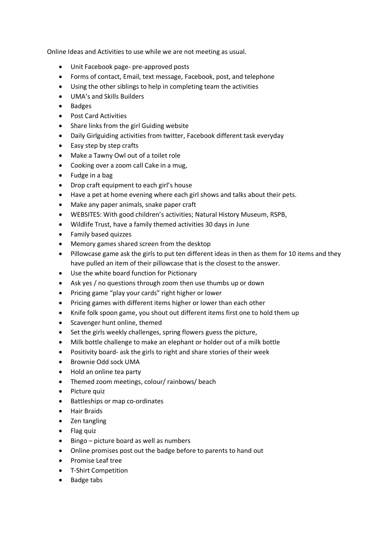Online Ideas and Activities to use while we are not meeting as usual.

- Unit Facebook page- pre-approved posts
- Forms of contact, Email, text message, Facebook, post, and telephone
- Using the other siblings to help in completing team the activities
- UMA's and Skills Builders
- Badges
- Post Card Activities
- Share links from the girl Guiding website
- Daily Girlguiding activities from twitter, Facebook different task everyday
- Easy step by step crafts
- Make a Tawny Owl out of a toilet role
- Cooking over a zoom call Cake in a mug,
- Fudge in a bag
- Drop craft equipment to each girl's house
- Have a pet at home evening where each girl shows and talks about their pets.
- Make any paper animals, snake paper craft
- WEBSITES: With good children's activities; Natural History Museum, RSPB,
- Wildlife Trust, have a family themed activities 30 days in June
- Family based quizzes
- Memory games shared screen from the desktop
- Pillowcase game ask the girls to put ten different ideas in then as them for 10 items and they have pulled an item of their pillowcase that is the closest to the answer.
- Use the white board function for Pictionary
- Ask yes / no questions through zoom then use thumbs up or down
- Pricing game "play your cards" right higher or lower
- Pricing games with different items higher or lower than each other
- Knife folk spoon game, you shout out different items first one to hold them up
- Scavenger hunt online, themed
- Set the girls weekly challenges, spring flowers guess the picture,
- Milk bottle challenge to make an elephant or holder out of a milk bottle
- Positivity board- ask the girls to right and share stories of their week
- Brownie Odd sock UMA
- Hold an online tea party
- Themed zoom meetings, colour/ rainbows/ beach
- Picture quiz
- Battleships or map co-ordinates
- Hair Braids
- Zen tangling
- Flag quiz
- Bingo picture board as well as numbers
- Online promises post out the badge before to parents to hand out
- Promise Leaf tree
- T-Shirt Competition
- Badge tabs